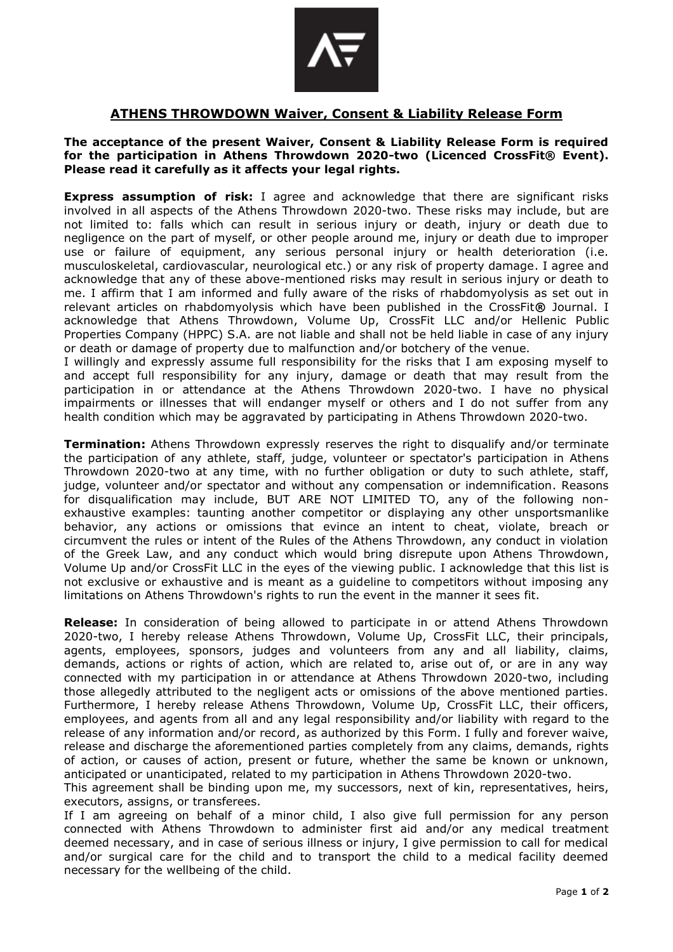

## **ATHENS THROWDOWN Waiver, Consent & Liability Release Form**

## **The acceptance of the present Waiver, Consent & Liability Release Form is required for the participation in Athens Throwdown 2020-two (Licenced CrossFit® Event). Please read it carefully as it affects your legal rights.**

**Express assumption of risk:** I agree and acknowledge that there are significant risks involved in all aspects of the Athens Throwdown 2020-two. These risks may include, but are not limited to: falls which can result in serious injury or death, injury or death due to negligence on the part of myself, or other people around me, injury or death due to improper use or failure of equipment, any serious personal injury or health deterioration (i.e. musculoskeletal, cardiovascular, neurological etc.) or any risk of property damage. I agree and acknowledge that any of these above-mentioned risks may result in serious injury or death to me. I affirm that I am informed and fully aware of the risks of rhabdomyolysis as set out in relevant articles on rhabdomyolysis which have been published in the CrossFit**®** Journal. I acknowledge that Athens Throwdown, Volume Up, CrossFit LLC and/or Hellenic Public Properties Company (HPPC) S.A. are not liable and shall not be held liable in case of any injury or death or damage of property due to malfunction and/or botchery of the venue.

I willingly and expressly assume full responsibility for the risks that I am exposing myself to and accept full responsibility for any injury, damage or death that may result from the participation in or attendance at the Athens Throwdown 2020-two. I have no physical impairments or illnesses that will endanger myself or others and I do not suffer from any health condition which may be aggravated by participating in Athens Throwdown 2020-two.

**Termination:** Athens Throwdown expressly reserves the right to disqualify and/or terminate the participation of any athlete, staff, judge, volunteer or spectator's participation in Athens Throwdown 2020-two at any time, with no further obligation or duty to such athlete, staff, judge, volunteer and/or spectator and without any compensation or indemnification. Reasons for disqualification may include, BUT ARE NOT LIMITED TO, any of the following nonexhaustive examples: taunting another competitor or displaying any other unsportsmanlike behavior, any actions or omissions that evince an intent to cheat, violate, breach or circumvent the rules or intent of the Rules of the Athens Throwdown, any conduct in violation of the Greek Law, and any conduct which would bring disrepute upon Athens Throwdown, Volume Up and/or CrossFit LLC in the eyes of the viewing public. I acknowledge that this list is not exclusive or exhaustive and is meant as a guideline to competitors without imposing any limitations on Athens Throwdown's rights to run the event in the manner it sees fit.

**Release:** In consideration of being allowed to participate in or attend Athens Throwdown 2020-two, I hereby release Athens Throwdown, Volume Up, CrossFit LLC, their principals, agents, employees, sponsors, judges and volunteers from any and all liability, claims, demands, actions or rights of action, which are related to, arise out of, or are in any way connected with my participation in or attendance at Athens Throwdown 2020-two, including those allegedly attributed to the negligent acts or omissions of the above mentioned parties. Furthermore, I hereby release Athens Throwdown, Volume Up, CrossFit LLC, their officers, employees, and agents from all and any legal responsibility and/or liability with regard to the release of any information and/or record, as authorized by this Form. I fully and forever waive, release and discharge the aforementioned parties completely from any claims, demands, rights of action, or causes of action, present or future, whether the same be known or unknown, anticipated or unanticipated, related to my participation in Athens Throwdown 2020-two. This agreement shall be binding upon me, my successors, next of kin, representatives, heirs,

executors, assigns, or transferees.

If I am agreeing on behalf of a minor child, I also give full permission for any person connected with Athens Throwdown to administer first aid and/or any medical treatment deemed necessary, and in case of serious illness or injury, I give permission to call for medical and/or surgical care for the child and to transport the child to a medical facility deemed necessary for the wellbeing of the child.